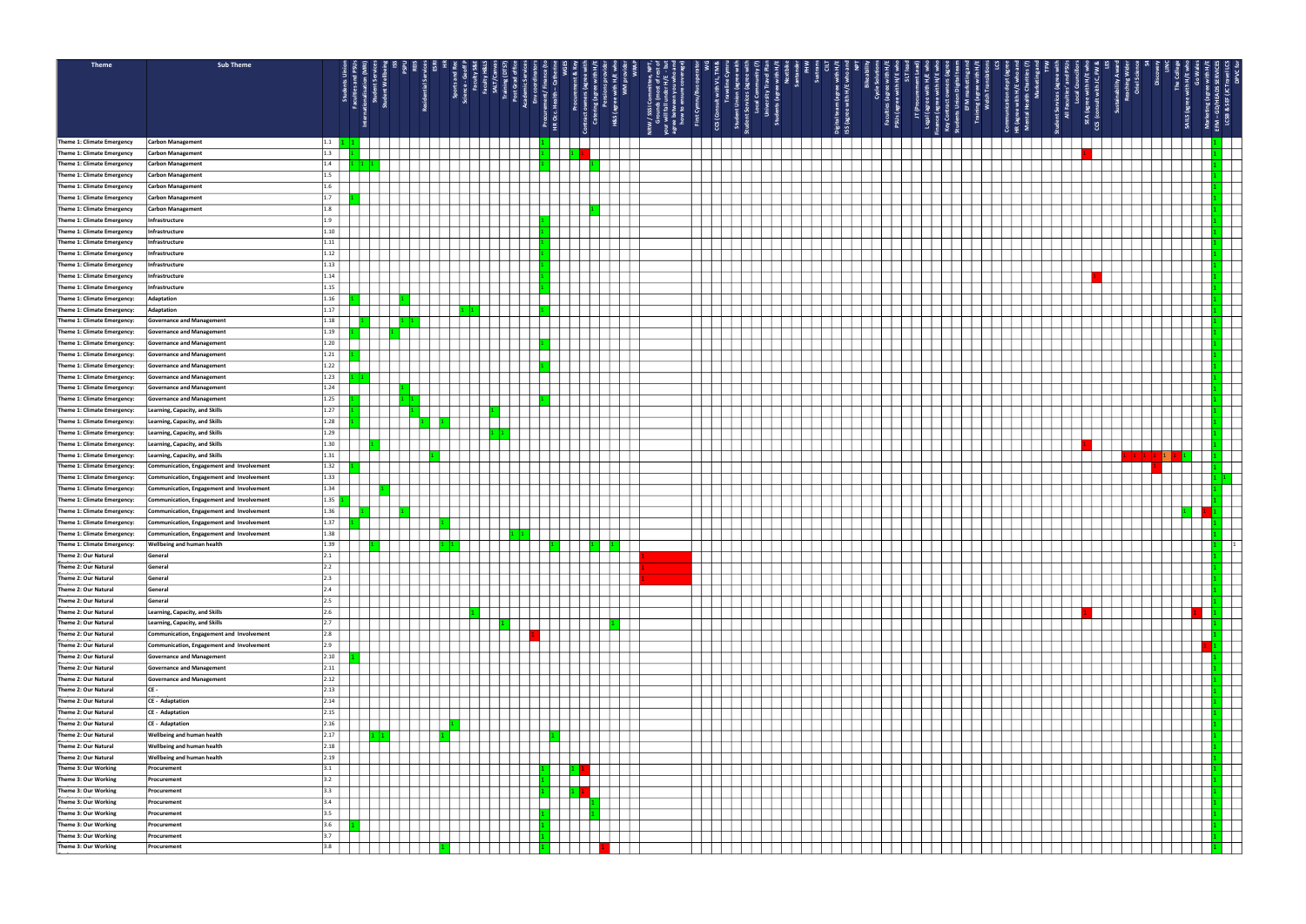| Theme                                                      | <b>Sub Theme</b>                                                                       |                   |              |  |  |  |                       |                    |                     |   |                             |  |                       |       |       |    |    |         |                    |                       |                              |                           |  |
|------------------------------------------------------------|----------------------------------------------------------------------------------------|-------------------|--------------|--|--|--|-----------------------|--------------------|---------------------|---|-----------------------------|--|-----------------------|-------|-------|----|----|---------|--------------------|-----------------------|------------------------------|---------------------------|--|
|                                                            |                                                                                        |                   |              |  |  |  |                       | 효 보 효              |                     |   |                             |  |                       |       |       |    |    |         |                    |                       |                              |                           |  |
|                                                            |                                                                                        |                   | ent:<br>1t W |  |  |  | nt/ Finan<br>th – Cat | <br>  aith<br>  WM | 572<br>증 흐          |   | with VL,<br>aveline (       |  | ā,                    |       | e a f |    | -F |         | es (ag<br>ties′ a  | ith H/E<br>ith J C, F | ability<br>aching<br>Oriel S |                           |  |
|                                                            |                                                                                        |                   |              |  |  |  |                       |                    |                     |   | 当り                          |  | m (agree)<br>with H/E | Cycle |       | ╶╶ |    |         |                    |                       |                              | <b>HEADS</b><br>¦ä<br>ឌូ  |  |
|                                                            |                                                                                        |                   |              |  |  |  |                       | H&S (agi           | $\frac{W}{2}$ SSS \ |   |                             |  | ್ಹಿ                   |       |       | Е. |    |         | nt Serv<br>All Fac |                       |                              | GD <sub>3</sub>           |  |
|                                                            |                                                                                        |                   |              |  |  |  | Procure<br>HR Occ.    | ්රී                |                     | ᇥ | ്<br>$\overline{\text{cs}}$ |  | ទេ ភ្ន                |       |       |    |    | eg<br>O |                    | g                     |                              | SAILS (agree<br>LCSB<br>혿 |  |
|                                                            |                                                                                        |                   |              |  |  |  |                       |                    |                     |   |                             |  | ss<br>Lig             |       |       |    |    |         |                    |                       |                              |                           |  |
| Theme 1: Climate Emergency<br>Theme 1: Climate Emergency   | <b>Carbon Management</b><br>Carbon Management                                          | 1.1 <br> 1.3      |              |  |  |  |                       |                    |                     |   |                             |  |                       |       |       |    |    |         |                    |                       |                              |                           |  |
| Theme 1: Climate Emergency                                 | <b>Carbon Management</b>                                                               | 1.4               |              |  |  |  |                       |                    |                     |   |                             |  |                       |       |       |    |    |         |                    |                       |                              |                           |  |
| Theme 1: Climate Emergency                                 | <b>Carbon Management</b>                                                               | 1.5               |              |  |  |  |                       |                    |                     |   |                             |  |                       |       |       |    |    |         |                    |                       |                              |                           |  |
| Theme 1: Climate Emergency                                 | <b>Carbon Management</b>                                                               | 1.6               |              |  |  |  |                       |                    |                     |   |                             |  |                       |       |       |    |    |         |                    |                       |                              |                           |  |
| Theme 1: Climate Emergency                                 | <b>Carbon Management</b>                                                               |                   |              |  |  |  |                       |                    |                     |   |                             |  |                       |       |       |    |    |         |                    |                       |                              |                           |  |
| Theme 1: Climate Emergency                                 | <b>Carbon Management</b>                                                               | 1.8               |              |  |  |  |                       |                    |                     |   |                             |  |                       |       |       |    |    |         |                    |                       |                              |                           |  |
| Theme 1: Climate Emergency                                 | Infrastructure                                                                         | 1.9               |              |  |  |  |                       |                    |                     |   |                             |  |                       |       |       |    |    |         |                    |                       |                              |                           |  |
| Theme 1: Climate Emergency                                 | Infrastructure                                                                         | 1.10              |              |  |  |  |                       |                    |                     |   |                             |  |                       |       |       |    |    |         |                    |                       |                              |                           |  |
| Theme 1: Climate Emergency                                 | Infrastructure                                                                         | 1.11              |              |  |  |  |                       |                    |                     |   |                             |  |                       |       |       |    |    |         |                    |                       |                              |                           |  |
| Theme 1: Climate Emergency<br>Theme 1: Climate Emergency   | Infrastructure<br>Infrastructure                                                       | 1.12<br> 1.13     |              |  |  |  |                       |                    |                     |   |                             |  |                       |       |       |    |    |         |                    |                       |                              |                           |  |
| Theme 1: Climate Emergency                                 | Infrastructure                                                                         | 1.14              |              |  |  |  |                       |                    |                     |   |                             |  |                       |       |       |    |    |         |                    |                       |                              |                           |  |
| Theme 1: Climate Emergency                                 | Infrastructure                                                                         | 1.15              |              |  |  |  |                       |                    |                     |   |                             |  |                       |       |       |    |    |         |                    |                       |                              |                           |  |
| Theme 1: Climate Emergency:                                | Adaptation                                                                             | 1.16              |              |  |  |  |                       |                    |                     |   |                             |  |                       |       |       |    |    |         |                    |                       |                              |                           |  |
| Theme 1: Climate Emergency:                                | Adaptation                                                                             | 1.17              |              |  |  |  |                       |                    |                     |   |                             |  |                       |       |       |    |    |         |                    |                       |                              |                           |  |
| Theme 1: Climate Emergency:                                | <b>Governance and Management</b>                                                       | 1.18              |              |  |  |  |                       |                    |                     |   |                             |  |                       |       |       |    |    |         |                    |                       |                              |                           |  |
| Theme 1: Climate Emergency:                                | <b>Governance and Management</b>                                                       | 1.19              |              |  |  |  |                       |                    |                     |   |                             |  |                       |       |       |    |    |         |                    |                       |                              |                           |  |
| Theme 1: Climate Emergency:                                | <b>Governance and Management</b>                                                       | 1.20              |              |  |  |  |                       |                    |                     |   |                             |  |                       |       |       |    |    |         |                    |                       |                              |                           |  |
| Theme 1: Climate Emergency:                                | Governance and Management                                                              | 1.21              |              |  |  |  |                       |                    |                     |   |                             |  |                       |       |       |    |    |         |                    |                       |                              |                           |  |
| Theme 1: Climate Emergency:                                | <b>Governance and Management</b>                                                       | 1.22              |              |  |  |  |                       |                    |                     |   |                             |  |                       |       |       |    |    |         |                    |                       |                              |                           |  |
| Theme 1: Climate Emergency:                                | <b>Governance and Management</b>                                                       | 1.23<br>1.24      |              |  |  |  |                       |                    |                     |   |                             |  |                       |       |       |    |    |         |                    |                       |                              |                           |  |
| Theme 1: Climate Emergency:<br>Theme 1: Climate Emergency: | <b>Governance and Management</b><br><b>Governance and Management</b>                   | 1.25              |              |  |  |  |                       |                    |                     |   |                             |  |                       |       |       |    |    |         |                    |                       |                              |                           |  |
| Theme 1: Climate Emergency:                                | Learning, Capacity, and Skills                                                         | 1.27              |              |  |  |  |                       |                    |                     |   |                             |  |                       |       |       |    |    |         |                    |                       |                              |                           |  |
| Theme 1: Climate Emergency:                                | Learning, Capacity, and Skills                                                         | 1.28              |              |  |  |  |                       |                    |                     |   |                             |  |                       |       |       |    |    |         |                    |                       |                              |                           |  |
| Theme 1: Climate Emergency:                                | <b>Learning, Capacity, and Skills</b>                                                  | 1.29              |              |  |  |  |                       |                    |                     |   |                             |  |                       |       |       |    |    |         |                    |                       |                              |                           |  |
| Theme 1: Climate Emergency:                                | Learning, Capacity, and Skills                                                         | 1.30              |              |  |  |  |                       |                    |                     |   |                             |  |                       |       |       |    |    |         |                    |                       |                              |                           |  |
| Theme 1: Climate Emergency:                                | Learning, Capacity, and Skills                                                         | 1.31              |              |  |  |  |                       |                    |                     |   |                             |  |                       |       |       |    |    |         |                    |                       |                              |                           |  |
| Theme 1: Climate Emergency:                                | Communication, Engagement and Involvement                                              | 1.32              |              |  |  |  |                       |                    |                     |   |                             |  |                       |       |       |    |    |         |                    |                       |                              |                           |  |
| Theme 1: Climate Emergency:                                | Communication, Engagement and Involvement                                              | 1.33              |              |  |  |  |                       |                    |                     |   |                             |  |                       |       |       |    |    |         |                    |                       |                              |                           |  |
| Theme 1: Climate Emergency:                                | Communication, Engagement and Involvement                                              | 1.34              |              |  |  |  |                       |                    |                     |   |                             |  |                       |       |       |    |    |         |                    |                       |                              |                           |  |
| Theme 1: Climate Emergency:<br>Theme 1: Climate Emergency: | Communication, Engagement and Involvement<br>Communication, Engagement and Involvement | 1.35 <br>1.36     |              |  |  |  |                       |                    |                     |   |                             |  |                       |       |       |    |    |         |                    |                       |                              |                           |  |
| Theme 1: Climate Emergency:                                | Communication, Engagement and Involvement                                              | 1.37              |              |  |  |  |                       |                    |                     |   |                             |  |                       |       |       |    |    |         |                    |                       |                              |                           |  |
| Theme 1: Climate Emergency:                                | Communication, Engagement and Involvement                                              | 1.38              |              |  |  |  |                       |                    |                     |   |                             |  |                       |       |       |    |    |         |                    |                       |                              |                           |  |
| Theme 1: Climate Emergency:   Wellbeing and human health   |                                                                                        | 1.39              |              |  |  |  |                       |                    |                     |   |                             |  |                       |       |       |    |    |         |                    |                       |                              |                           |  |
| Theme 2: Our Natural                                       | General                                                                                | 2.1               |              |  |  |  |                       |                    |                     |   |                             |  |                       |       |       |    |    |         |                    |                       |                              |                           |  |
| Theme 2: Our Natural                                       | General                                                                                | 2.2               |              |  |  |  |                       |                    |                     |   |                             |  |                       |       |       |    |    |         |                    |                       |                              |                           |  |
| Theme 2: Our Natural                                       | General                                                                                | $\vert 2.3 \vert$ |              |  |  |  |                       |                    |                     |   |                             |  |                       |       |       |    |    |         |                    |                       |                              |                           |  |
| Theme 2: Our Natural                                       | General                                                                                | 2.4               |              |  |  |  |                       |                    |                     |   |                             |  |                       |       |       |    |    |         |                    |                       |                              |                           |  |
| Theme 2: Our Natural<br>Theme 2: Our Natural               | General<br>Learning, Capacity, and Skills                                              | 2.5 <br>12.6      |              |  |  |  |                       |                    |                     |   |                             |  |                       |       |       |    |    |         |                    |                       |                              |                           |  |
| Theme 2: Our Natural                                       | Learning, Capacity, and Skills                                                         | 12.7              |              |  |  |  |                       |                    |                     |   |                             |  |                       |       |       |    |    |         |                    |                       |                              |                           |  |
| Theme 2: Our Natural                                       | Communication, Engagement and Involvement                                              | 2.8               |              |  |  |  |                       |                    |                     |   |                             |  |                       |       |       |    |    |         |                    |                       |                              |                           |  |
| Theme 2: Our Natural                                       | Communication, Engagement and Involvement                                              | $ 2.9\rangle$     |              |  |  |  |                       |                    |                     |   |                             |  |                       |       |       |    |    |         |                    |                       |                              |                           |  |
| Theme 2: Our Natural                                       | <b>Governance and Management</b>                                                       | 2.10              |              |  |  |  |                       |                    |                     |   |                             |  |                       |       |       |    |    |         |                    |                       |                              |                           |  |
| Theme 2: Our Natural                                       | <b>Governance and Management</b>                                                       | 2.11              |              |  |  |  |                       |                    |                     |   |                             |  |                       |       |       |    |    |         |                    |                       |                              |                           |  |
| Theme 2: Our Natural                                       | <b>Governance and Management</b>                                                       | 2.12              |              |  |  |  |                       |                    |                     |   |                             |  |                       |       |       |    |    |         |                    |                       |                              |                           |  |
| Theme 2: Our Natural                                       | $ CE -$                                                                                | 2.13              |              |  |  |  |                       |                    |                     |   |                             |  |                       |       |       |    |    |         |                    |                       |                              |                           |  |
| Theme 2: Our Natural<br>Theme 2: Our Natural               | CE - Adaptation<br>CE - Adaptation                                                     | 2.14 <br> 2.15    |              |  |  |  |                       |                    |                     |   |                             |  |                       |       |       |    |    |         |                    |                       |                              |                           |  |
| Theme 2: Our Natural                                       | CE - Adaptation                                                                        | 2.16              |              |  |  |  |                       |                    |                     |   |                             |  |                       |       |       |    |    |         |                    |                       |                              |                           |  |
| Theme 2: Our Natural                                       | <b>Wellbeing and human health</b>                                                      | 2.17              |              |  |  |  |                       |                    |                     |   |                             |  |                       |       |       |    |    |         |                    |                       |                              |                           |  |
| Theme 2: Our Natural                                       | <b>Wellbeing and human health</b>                                                      | 2.18              |              |  |  |  |                       |                    |                     |   |                             |  |                       |       |       |    |    |         |                    |                       |                              |                           |  |
| Theme 2: Our Natural                                       | <b>Wellbeing and human health</b>                                                      | 2.19              |              |  |  |  |                       |                    |                     |   |                             |  |                       |       |       |    |    |         |                    |                       |                              |                           |  |
| Theme 3: Our Working                                       | Procurement                                                                            | 3.1               |              |  |  |  |                       |                    |                     |   |                             |  |                       |       |       |    |    |         |                    |                       |                              |                           |  |
| Theme 3: Our Working                                       | Procurement                                                                            | $3.2$             |              |  |  |  |                       |                    |                     |   |                             |  |                       |       |       |    |    |         |                    |                       |                              |                           |  |
| Theme 3: Our Working                                       | Procurement                                                                            | 3.3               |              |  |  |  |                       |                    |                     |   |                             |  |                       |       |       |    |    |         |                    |                       |                              |                           |  |
| Theme 3: Our Working                                       | Procurement                                                                            | 3.4               |              |  |  |  |                       |                    |                     |   |                             |  |                       |       |       |    |    |         |                    |                       |                              |                           |  |
| Theme 3: Our Working                                       | Procurement                                                                            | 3.5               |              |  |  |  |                       |                    |                     |   |                             |  |                       |       |       |    |    |         |                    |                       |                              |                           |  |
| Theme 3: Our Working<br>Theme 3: Our Working               | Procurement<br>Procurement                                                             | $3.6$<br>13.7     |              |  |  |  |                       |                    |                     |   |                             |  |                       |       |       |    |    |         |                    |                       |                              |                           |  |
| Theme 3: Our Working                                       | Procurement                                                                            | 3.8               |              |  |  |  |                       |                    |                     |   |                             |  |                       |       |       |    |    |         |                    |                       |                              |                           |  |
|                                                            |                                                                                        |                   |              |  |  |  |                       |                    |                     |   |                             |  |                       |       |       |    |    |         |                    |                       |                              |                           |  |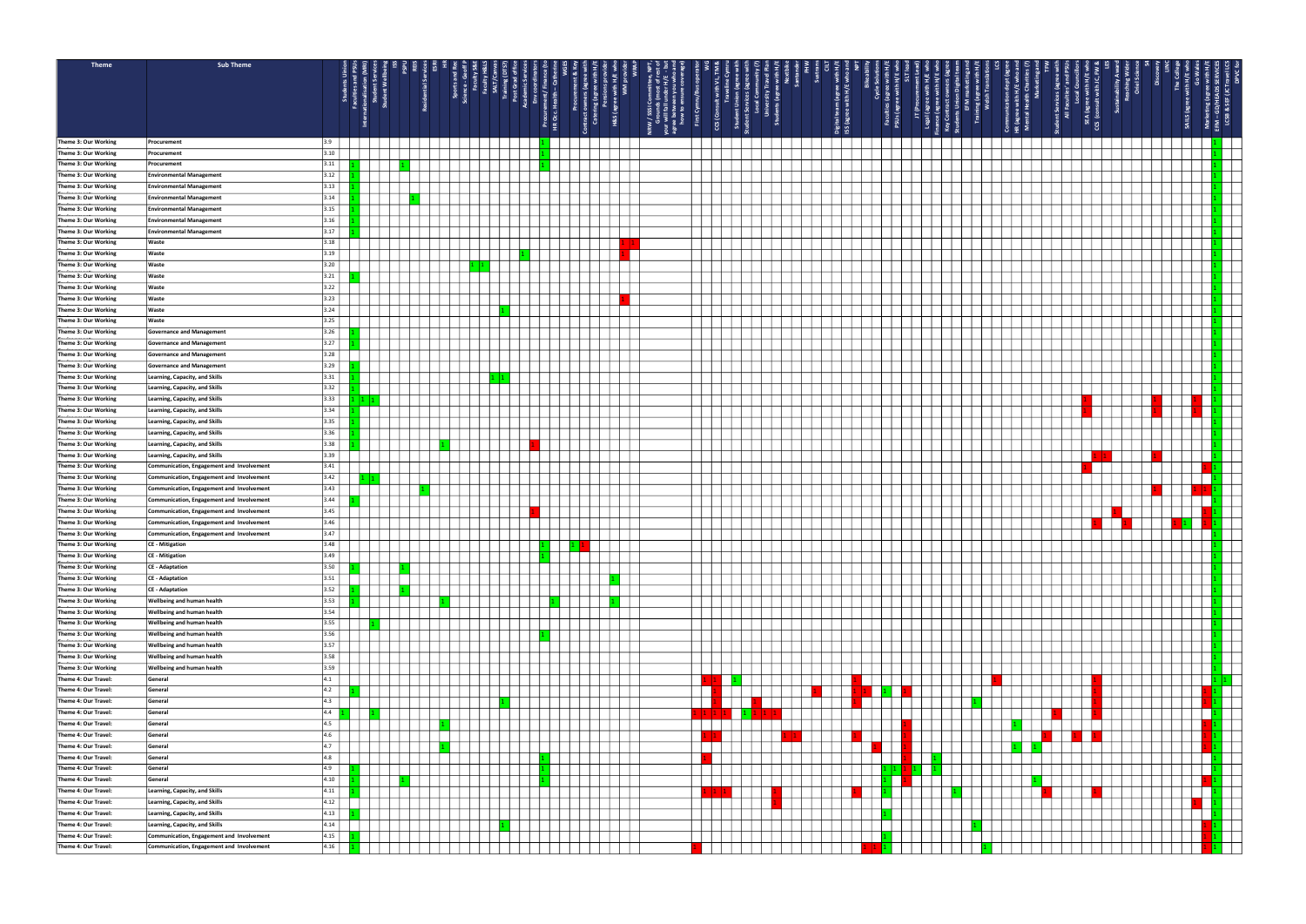

| Theme                | <b>Sub Theme</b>                          |      |  |  |  |                                                              |     |            |          |      |  |                |                           |  |  |   |                                  |                           |
|----------------------|-------------------------------------------|------|--|--|--|--------------------------------------------------------------|-----|------------|----------|------|--|----------------|---------------------------|--|--|---|----------------------------------|---------------------------|
|                      |                                           |      |  |  |  |                                                              |     |            |          |      |  |                |                           |  |  |   |                                  |                           |
|                      |                                           |      |  |  |  |                                                              |     | 도 호        | 9573     | ₹.   |  |                | इ इ                       |  |  |   | ⋩<br>$\frac{1}{2}$ $\frac{1}{2}$ |                           |
|                      |                                           |      |  |  |  | a v                                                          |     | with<br>WM |          | with |  |                | gree<br>H/E<br>ক্ট        |  |  |   |                                  |                           |
|                      |                                           |      |  |  |  |                                                              |     |            |          |      |  |                | n (ag<br>with             |  |  |   |                                  |                           |
|                      |                                           |      |  |  |  |                                                              |     | ie) S'8ł   | $1/$ SSS |      |  |                |                           |  |  |   |                                  | eg<br>G<br>შ ≊            |
|                      |                                           |      |  |  |  | Procure<br>HR Occ.                                           | ්රී |            |          | 'ය   |  | $\overline{5}$ | $\frac{9}{2}$<br><u>م</u> |  |  | n |                                  | LCSB<br><b>SAILS</b><br>Σ |
|                      |                                           |      |  |  |  |                                                              |     |            |          |      |  |                | ′ ≊                       |  |  |   |                                  |                           |
| Theme 3: Our Working | Procurement                               |      |  |  |  |                                                              |     |            |          |      |  |                |                           |  |  |   |                                  |                           |
| Theme 3: Our Working | Procurement                               | 3.10 |  |  |  |                                                              |     |            |          |      |  |                |                           |  |  |   |                                  |                           |
| Theme 3: Our Working | Procurement                               | 3.11 |  |  |  |                                                              |     |            |          |      |  |                |                           |  |  |   |                                  |                           |
| Theme 3: Our Working | <b>Environmental Management</b>           | 3.12 |  |  |  |                                                              |     |            |          |      |  |                |                           |  |  |   |                                  |                           |
| Theme 3: Our Working | <b>Environmental Management</b>           | 3.13 |  |  |  |                                                              |     |            |          |      |  |                |                           |  |  |   |                                  |                           |
| Theme 3: Our Working |                                           | 3.14 |  |  |  |                                                              |     |            |          |      |  |                |                           |  |  |   |                                  |                           |
|                      | <b>Environmental Management</b>           |      |  |  |  |                                                              |     |            |          |      |  |                |                           |  |  |   |                                  |                           |
| Theme 3: Our Working | <b>Environmental Management</b>           | 3.15 |  |  |  |                                                              |     |            |          |      |  |                |                           |  |  |   |                                  |                           |
| Theme 3: Our Working | <b>Environmental Management</b>           | 3.16 |  |  |  |                                                              |     |            |          |      |  |                |                           |  |  |   |                                  |                           |
| Theme 3: Our Working | <b>Environmental Management</b>           | 3.17 |  |  |  |                                                              |     |            |          |      |  |                |                           |  |  |   |                                  |                           |
| Theme 3: Our Working | Waste                                     | 3.18 |  |  |  |                                                              |     |            |          |      |  |                |                           |  |  |   |                                  |                           |
| Theme 3: Our Working | Waste                                     | 3.19 |  |  |  |                                                              |     |            |          |      |  |                |                           |  |  |   |                                  |                           |
| Theme 3: Our Working | Waste                                     | 3.20 |  |  |  |                                                              |     |            |          |      |  |                |                           |  |  |   |                                  |                           |
| Theme 3: Our Working | Waste                                     | 3.21 |  |  |  |                                                              |     |            |          |      |  |                |                           |  |  |   |                                  |                           |
| Theme 3: Our Working | Waste                                     | 3.22 |  |  |  |                                                              |     |            |          |      |  |                |                           |  |  |   |                                  |                           |
|                      |                                           |      |  |  |  |                                                              |     |            |          |      |  |                |                           |  |  |   |                                  |                           |
| Theme 3: Our Working | Waste                                     | 3.23 |  |  |  |                                                              |     |            |          |      |  |                |                           |  |  |   |                                  |                           |
| Theme 3: Our Working | <b>Waste</b>                              | 3.24 |  |  |  |                                                              |     |            |          |      |  |                |                           |  |  |   |                                  |                           |
| Theme 3: Our Working | Waste                                     | 3.25 |  |  |  |                                                              |     |            |          |      |  |                |                           |  |  |   |                                  |                           |
| Theme 3: Our Working | <b>Governance and Management</b>          | 3.26 |  |  |  |                                                              |     |            |          |      |  |                |                           |  |  |   |                                  |                           |
| Theme 3: Our Working | <b>Governance and Management</b>          | 3.27 |  |  |  |                                                              |     |            |          |      |  |                |                           |  |  |   |                                  |                           |
| Theme 3: Our Working | <b>Governance and Management</b>          | 3.28 |  |  |  |                                                              |     |            |          |      |  |                |                           |  |  |   |                                  |                           |
| Theme 3: Our Working | <b>Governance and Management</b>          | 3.29 |  |  |  |                                                              |     |            |          |      |  |                |                           |  |  |   |                                  |                           |
| Theme 3: Our Working | Learning, Capacity, and Skills            | 3.31 |  |  |  |                                                              |     |            |          |      |  |                |                           |  |  |   |                                  |                           |
| Theme 3: Our Working | Learning, Capacity, and Skills            | 3.32 |  |  |  |                                                              |     |            |          |      |  |                |                           |  |  |   |                                  |                           |
|                      |                                           |      |  |  |  |                                                              |     |            |          |      |  |                |                           |  |  |   |                                  |                           |
| Theme 3: Our Working | Learning, Capacity, and Skills            | 3.33 |  |  |  |                                                              |     |            |          |      |  |                |                           |  |  |   |                                  |                           |
| Theme 3: Our Working | Learning, Capacity, and Skills            | 3.34 |  |  |  |                                                              |     |            |          |      |  |                |                           |  |  |   |                                  |                           |
| Theme 3: Our Working | Learning, Capacity, and Skills            | 3.35 |  |  |  |                                                              |     |            |          |      |  |                |                           |  |  |   |                                  |                           |
| Theme 3: Our Working | Learning, Capacity, and Skills            | 3.36 |  |  |  |                                                              |     |            |          |      |  |                |                           |  |  |   |                                  |                           |
| Theme 3: Our Working | <b>Learning, Capacity, and Skills</b>     | 3.38 |  |  |  |                                                              |     |            |          |      |  |                |                           |  |  |   |                                  |                           |
| Theme 3: Our Working | Learning, Capacity, and Skills            | 3.39 |  |  |  |                                                              |     |            |          |      |  |                |                           |  |  |   |                                  |                           |
| Theme 3: Our Working | Communication, Engagement and Involvement | 3.41 |  |  |  |                                                              |     |            |          |      |  |                |                           |  |  |   |                                  |                           |
| Theme 3: Our Working | Communication, Engagement and Involvement | 3.42 |  |  |  |                                                              |     |            |          |      |  |                |                           |  |  |   |                                  |                           |
| Theme 3: Our Working | Communication, Engagement and Involvement | 3.43 |  |  |  |                                                              |     |            |          |      |  |                |                           |  |  |   |                                  |                           |
|                      |                                           |      |  |  |  |                                                              |     |            |          |      |  |                |                           |  |  |   |                                  |                           |
| Theme 3: Our Working | Communication, Engagement and Involvement | 3.44 |  |  |  |                                                              |     |            |          |      |  |                |                           |  |  |   |                                  |                           |
| Theme 3: Our Working | Communication, Engagement and Involvement | 3.45 |  |  |  |                                                              |     |            |          |      |  |                |                           |  |  |   |                                  |                           |
| Theme 3: Our Working | Communication, Engagement and Involvement | 3.46 |  |  |  |                                                              |     |            |          |      |  |                |                           |  |  |   |                                  |                           |
| Theme 3: Our Working | Communication, Engagement and Involvement | 3.47 |  |  |  |                                                              |     |            |          |      |  |                |                           |  |  |   |                                  |                           |
| Theme 3: Our Working | CE - Mitigation                           | 3.48 |  |  |  | $\begin{array}{ c c c c c }\n\hline\n1 & 1 & 1\n\end{array}$ |     |            |          |      |  |                |                           |  |  |   |                                  |                           |
| Theme 3: Our Working | CE - Mitigation                           | 3.49 |  |  |  |                                                              |     |            |          |      |  |                |                           |  |  |   |                                  |                           |
| Theme 3: Our Working | CE - Adaptation                           | 3.50 |  |  |  |                                                              |     |            |          |      |  |                |                           |  |  |   |                                  |                           |
| Theme 3: Our Working | <b>CE - Adaptation</b>                    | 3.51 |  |  |  |                                                              |     |            |          |      |  |                |                           |  |  |   |                                  |                           |
| Theme 3: Our Working | <b>CE</b> - Adaptation                    | 3.52 |  |  |  |                                                              |     |            |          |      |  |                |                           |  |  |   |                                  |                           |
|                      |                                           |      |  |  |  |                                                              |     |            |          |      |  |                |                           |  |  |   |                                  |                           |
| Theme 3: Our Working | <b>Wellbeing and human health</b>         | 3.53 |  |  |  |                                                              |     |            |          |      |  |                |                           |  |  |   |                                  |                           |
| Theme 3: Our Working | <b>Wellbeing and human health</b>         | 3.54 |  |  |  |                                                              |     |            |          |      |  |                |                           |  |  |   |                                  |                           |
| Theme 3: Our Working | <b>Wellbeing and human health</b>         | 3.55 |  |  |  |                                                              |     |            |          |      |  |                |                           |  |  |   |                                  |                           |
| Theme 3: Our Working | <b>Wellbeing and human health</b>         | 3.56 |  |  |  |                                                              |     |            |          |      |  |                |                           |  |  |   |                                  |                           |
| Theme 3: Our Working | <b>Wellbeing and human health</b>         | 3.57 |  |  |  |                                                              |     |            |          |      |  |                |                           |  |  |   |                                  |                           |
| Theme 3: Our Working | <b>Wellbeing and human health</b>         | 3.58 |  |  |  |                                                              |     |            |          |      |  |                |                           |  |  |   |                                  |                           |
| Theme 3: Our Working | <b>Wellbeing and human health</b>         | 3.59 |  |  |  |                                                              |     |            |          |      |  |                |                           |  |  |   |                                  |                           |
| Theme 4: Our Travel: | General                                   | 4.1  |  |  |  |                                                              |     |            |          |      |  |                |                           |  |  |   |                                  |                           |
| Theme 4: Our Travel: | General                                   |      |  |  |  |                                                              |     |            |          |      |  |                |                           |  |  |   |                                  |                           |
| Theme 4: Our Travel: | General                                   | 4.3  |  |  |  |                                                              |     |            |          |      |  |                |                           |  |  |   |                                  |                           |
|                      |                                           |      |  |  |  |                                                              |     |            |          |      |  |                |                           |  |  |   |                                  |                           |
| Theme 4: Our Travel: | General                                   | 4.4  |  |  |  |                                                              |     |            |          |      |  |                |                           |  |  |   |                                  |                           |
| Theme 4: Our Travel: | General                                   |      |  |  |  |                                                              |     |            |          |      |  |                |                           |  |  |   |                                  |                           |
| Theme 4: Our Travel: | General                                   | 46.  |  |  |  |                                                              |     |            |          |      |  |                |                           |  |  |   |                                  |                           |
| Theme 4: Our Travel: | General                                   | 4.7  |  |  |  |                                                              |     |            |          |      |  |                |                           |  |  |   |                                  |                           |
| Theme 4: Our Travel: | General                                   | 4.8  |  |  |  |                                                              |     |            |          |      |  |                |                           |  |  |   |                                  |                           |
| Theme 4: Our Travel: | General                                   | 4.9  |  |  |  |                                                              |     |            |          |      |  |                |                           |  |  |   |                                  |                           |
| Theme 4: Our Travel: | General                                   | 4.10 |  |  |  |                                                              |     |            |          |      |  |                |                           |  |  |   |                                  |                           |
| Theme 4: Our Travel: |                                           | 4.11 |  |  |  |                                                              |     |            |          |      |  |                |                           |  |  |   |                                  |                           |
|                      | Learning, Capacity, and Skills            |      |  |  |  |                                                              |     |            |          |      |  |                |                           |  |  |   |                                  |                           |
| Theme 4: Our Travel: | Learning, Capacity, and Skills            | 4.12 |  |  |  |                                                              |     |            |          |      |  |                |                           |  |  |   |                                  |                           |
| Theme 4: Our Travel: | Learning, Capacity, and Skills            | 4.13 |  |  |  |                                                              |     |            |          |      |  |                |                           |  |  |   |                                  |                           |
| Theme 4: Our Travel: | Learning, Capacity, and Skills            | 4.14 |  |  |  |                                                              |     |            |          |      |  |                |                           |  |  |   |                                  |                           |
| Theme 4: Our Travel: | Communication, Engagement and Involvement | 4.15 |  |  |  |                                                              |     |            |          |      |  |                |                           |  |  |   |                                  | a ka                      |
| Theme 4: Our Travel: | Communication, Engagement and Involvement | 4.16 |  |  |  |                                                              |     |            |          |      |  |                |                           |  |  |   |                                  |                           |